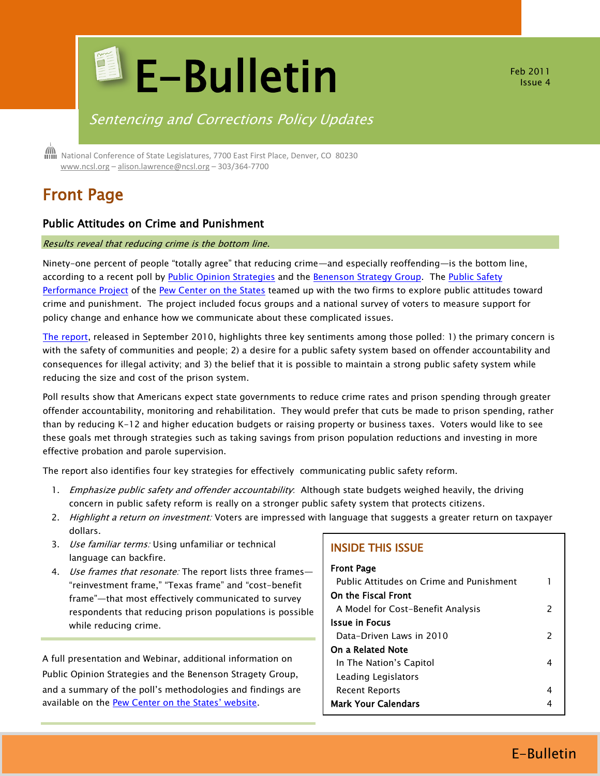

Feb 2011 Issue 4

# Sentencing and Corrections Policy Updates

 National Conference of State Legislatures, 7700 East First Place, Denver, CO 80230 [www.ncsl.org](http://www.ncsl.org/) – [alison.lawrence@ncsl.org](mailto:Alison.lawrence@ncsl.org) – 303/364-7700

# Front Page

### Public Attitudes on Crime and Punishment

#### Results reveal that reducing crime is the bottom line.

Ninety-one percent of people "totally agree" that reducing crime—and especially reoffending—is the bottom line, according to a recent poll by [Public Opinion Strategies](http://pos.org/) and the [Benenson Strategy Group.](http://www.bsgco.com/) The Public Safety [Performance Project](http://www.pewcenteronthestates.org/initiatives_detail.aspx?initiativeID=31336) of the [Pew Center on the States](http://www.pewcenteronthestates.org/) teamed up with the two firms to explore public attitudes toward crime and punishment. The project included focus groups and a national survey of voters to measure support for policy change and enhance how we communicate about these complicated issues.

[The report,](http://www.pewcenteronthestates.org/initiatives_detail.aspx?initiativeID=60775) released in September 2010, highlights three key sentiments among those polled: 1) the primary concern is with the safety of communities and people; 2) a desire for a public safety system based on offender accountability and consequences for illegal activity; and 3) the belief that it is possible to maintain a strong public safety system while reducing the size and cost of the prison system.

Poll results show that Americans expect state governments to reduce crime rates and prison spending through greater offender accountability, monitoring and rehabilitation. They would prefer that cuts be made to prison spending, rather than by reducing K-12 and higher education budgets or raising property or business taxes. Voters would like to see these goals met through strategies such as taking savings from prison population reductions and investing in more effective probation and parole supervision.

The report also identifies four key strategies for effectively communicating public safety reform.

- 1. Emphasize public safety and offender accountability: Although state budgets weighed heavily, the driving concern in public safety reform is really on a stronger public safety system that protects citizens.
- 2. Highlight a return on investment: Voters are impressed with language that suggests a greater return on taxpayer dollars.
- 3. Use familiar terms: Using unfamiliar or technical language can backfire.
- 4. Use frames that resonate: The report lists three frames-"reinvestment frame," "Texas frame" and "cost-benefit frame"—that most effectively communicated to survey respondents that reducing prison populations is possible while reducing crime.

A full presentation and Webinar, additional information on Public Opinion Strategies and the Benenson Stragety Group, and a summary of the poll's methodologies and findings are available on the **[Pew Center on the States' website](http://www.pewcenteronthestates.org/initiatives_detail.aspx?initiativeID=60775)**.

### INSIDE THIS ISSUE

| <b>Front Page</b><br>Public Attitudes on Crime and Punishment |               |
|---------------------------------------------------------------|---------------|
| On the Fiscal Front                                           |               |
| A Model for Cost-Benefit Analysis                             | 2             |
| <b>Issue in Focus</b>                                         |               |
| Data-Driven Laws in 2010                                      | $\mathcal{P}$ |
| On a Related Note                                             |               |
| In The Nation's Capitol                                       | 4             |
| Leading Legislators                                           |               |
| Recent Reports                                                | 4             |
| <b>Mark Your Calendars</b>                                    |               |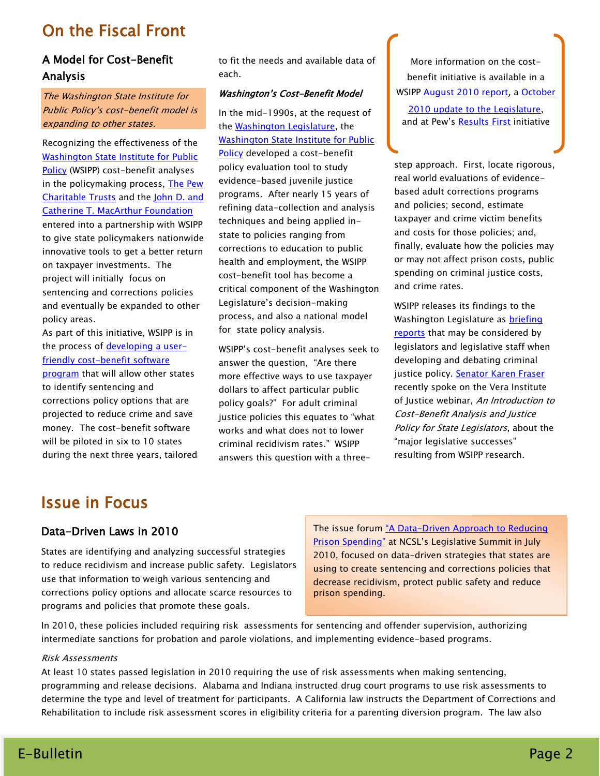# On the Fiscal Front

# A Model for Cost-Benefit Analysis

The Washington State Institute for Public Policy's cost-benefit model is expanding to other states.

Recognizing the effectiveness of the [Washington State Institute for Public](http://www.wsipp.wa.gov/)  [Policy](http://www.wsipp.wa.gov/) (WSIPP) cost-benefit analyses in the policymaking process, The Pew [Charitable Trusts](http://www.pewtrusts.org/) and the [John D. and](http://www.macfound.org/site/c.lkLXJ8MQKrH/b.3599935/k.1648/John_D__Catherine_T_MacArthur_Foundation.htm)  [Catherine T. MacArthur Foundation](http://www.macfound.org/site/c.lkLXJ8MQKrH/b.3599935/k.1648/John_D__Catherine_T_MacArthur_Foundation.htm) entered into a partnership with WSIPP to give state policymakers nationwide innovative tools to get a better return on taxpayer investments. The project will initially focus on sentencing and corrections policies and eventually be expanded to other policy areas.

As part of this initiative, WSIPP is in the process of [developing a](http://www.wsipp.wa.gov/pub.asp?docid=10-08-1201) user[friendly cost-benefit software](http://www.wsipp.wa.gov/pub.asp?docid=10-08-1201)  [program](http://www.wsipp.wa.gov/pub.asp?docid=10-08-1201) that will allow other states to identify sentencing and corrections policy options that are projected to reduce crime and save money. The cost-benefit software will be piloted in six to 10 states during the next three years, tailored to fit the needs and available data of each.

#### Washington's Cost-Benefit Model

In the mid-1990s, at the request of the [Washington Legislature,](http://www.leg.wa.gov/pages/home.aspx) the [Washington State Institute for Public](http://www.wsipp.wa.gov/)  [Policy](http://www.wsipp.wa.gov/) developed a cost-benefit policy evaluation tool to study evidence-based juvenile justice programs. After nearly 15 years of refining data-collection and analysis techniques and being applied instate to policies ranging from corrections to education to public health and employment, the WSIPP cost-benefit tool has become a critical component of the Washington Legislature's decision-making process, and also a national model for state policy analysis.

WSIPP's cost-benefit analyses seek to answer the question, "Are there more effective ways to use taxpayer dollars to affect particular public policy goals?" For adult criminal justice policies this equates to "what works and what does not to lower criminal recidivism rates." WSIPP answers this question with a three-

More information on the costbenefit initiative is available in a WSIPP [August 2010 report](http://www.wsipp.wa.gov/pub.asp?docid=10-08-1201), a October [2010 update to the Legislature,](http://www.wsipp.wa.gov/pub.asp?docid=10-10-1201) and at Pew's [Results First](http://www.pewcenteronthestates.org/initiatives_detail.aspx?initiativeID=61282) initiative

step approach. First, locate rigorous, real world evaluations of evidencebased adult corrections programs and policies; second, estimate taxpayer and crime victim benefits and costs for those policies; and, finally, evaluate how the policies may or may not affect prison costs, public spending on criminal justice costs, and crime rates.

WSIPP releases its findings to the Washington Legislature as **briefing** [reports](http://www.wsipp.wa.gov/topic.asp?cat=10&subcat=0&dteSlct=0) that may be considered by legislators and legislative staff when developing and debating criminal justice policy. [Senator Karen Fraser](http://www.leg.wa.gov/senate/senators/pages/fraser.aspx) recently spoke on the Vera Institute of Justice webinar, An Introduction to Cost-Benefit Analysis and Justice Policy for State Legislators, about the "major legislative successes" resulting from WSIPP research.

# Issue in Focus

# Data-Driven Laws in 2010

States are identifying and analyzing successful strategies to reduce recidivism and increase public safety. Legislators use that information to weigh various sentencing and corrections policy options and allocate scarce resources to programs and policies that promote these goals.

The issue forum "A Data-Driven Approach to Reducing [Prison Spending"](http://www.ncsl.org/?TabId=21290) at NCSL's Legislative Summit in July 2010, focused on data-driven strategies that states are using to create sentencing and corrections policies that decrease recidivism, protect public safety and reduce prison spending.

In 2010, these policies included requiring risk assessments for sentencing and offender supervision, authorizing intermediate sanctions for probation and parole violations, and implementing evidence-based programs.

#### Risk Assessments

At least 10 states passed legislation in 2010 requiring the use of risk assessments when making sentencing, programming and release decisions. Alabama and Indiana instructed drug court programs to use risk assessments to determine the type and level of treatment for participants. A California law instructs the Department of Corrections and Rehabilitation to include risk assessment scores in eligibility criteria for a parenting diversion program. The law also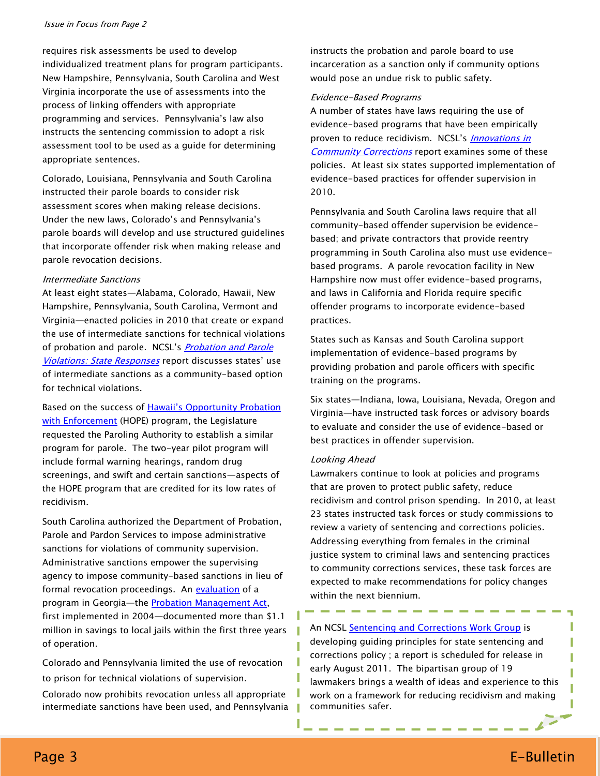requires risk assessments be used to develop individualized treatment plans for program participants. New Hampshire, Pennsylvania, South Carolina and West Virginia incorporate the use of assessments into the process of linking offenders with appropriate programming and services. Pennsylvania's law also instructs the sentencing commission to adopt a risk assessment tool to be used as a guide for determining appropriate sentences.

Colorado, Louisiana, Pennsylvania and South Carolina instructed their parole boards to consider risk assessment scores when making release decisions. Under the new laws, Colorado's and Pennsylvania's parole boards will develop and use structured guidelines that incorporate offender risk when making release and parole revocation decisions.

#### Intermediate Sanctions

At least eight states—Alabama, Colorado, Hawaii, New Hampshire, Pennsylvania, South Carolina, Vermont and Virginia—enacted policies in 2010 that create or expand the use of intermediate sanctions for technical violations of probation and parole. NCSL's *Probation and Parole* [Violations: State Responses](http://www.ncsl.org/default.aspx?tabid=21061) report discusses states' use of intermediate sanctions as a community-based option for technical violations.

Based on the success of Hawaii's Opportunity Probation [with Enforcement](http://www.ncsl.org/default.aspx?tabid=19736#hawaii) (HOPE) program, the Legislature requested the Paroling Authority to establish a similar program for parole. The two-year pilot program will include formal warning hearings, random drug screenings, and swift and certain sanctions—aspects of the HOPE program that are credited for its low rates of recidivism.

South Carolina authorized the Department of Probation, Parole and Pardon Services to impose administrative sanctions for violations of community supervision. Administrative sanctions empower the supervising agency to impose community-based sanctions in lieu of formal revocation proceedings. An [evaluation](http://www.ars-corp.com/_view/PDF_Files/AnEvaluationofGeorgiasProbationOptionsManagementAct_FinalReport2007.pdf) of a program in Georgia—the [Probation Management Act,](http://www.legis.ga.gov/Legislation/en-US/display.aspx?Legislation=11125) first implemented in 2004—documented more than \$1.1 million in savings to local jails within the first three years of operation.

Colorado and Pennsylvania limited the use of revocation to prison for technical violations of supervision.

Colorado now prohibits revocation unless all appropriate intermediate sanctions have been used, and Pennsylvania instructs the probation and parole board to use incarceration as a sanction only if community options would pose an undue risk to public safety.

#### Evidence-Based Programs

A number of states have laws requiring the use of evidence-based programs that have been empirically proven to reduce recidivism. NCSL's *Innovations in* [Community Corrections](http://www.ncsl.org/documents/cj/pew/innovations.pdf) report examines some of these policies. At least six states supported implementation of evidence-based practices for offender supervision in 2010.

Pennsylvania and South Carolina laws require that all community-based offender supervision be evidencebased; and private contractors that provide reentry programming in South Carolina also must use evidencebased programs. A parole revocation facility in New Hampshire now must offer evidence-based programs, and laws in California and Florida require specific offender programs to incorporate evidence-based practices.

States such as Kansas and South Carolina support implementation of evidence-based programs by providing probation and parole officers with specific training on the programs.

Six states—Indiana, Iowa, Louisiana, Nevada, Oregon and Virginia—have instructed task forces or advisory boards to evaluate and consider the use of evidence-based or best practices in offender supervision.

#### Looking Ahead

ı

Lawmakers continue to look at policies and programs that are proven to protect public safety, reduce recidivism and control prison spending. In 2010, at least 23 states instructed task forces or study commissions to review a variety of sentencing and corrections policies. Addressing everything from females in the criminal justice system to criminal laws and sentencing practices to community corrections services, these task forces are expected to make recommendations for policy changes within the next biennium.

### An NCSL [Sentencing and Corrections Work Group](http://www.ncsl.org/default.aspx?tabid=21957) is

developing guiding principles for state sentencing and corrections policy ; a report is scheduled for release in early August 2011. The bipartisan group of 19 lawmakers brings a wealth of ideas and experience to this work on a framework for reducing recidivism and making communities safer.